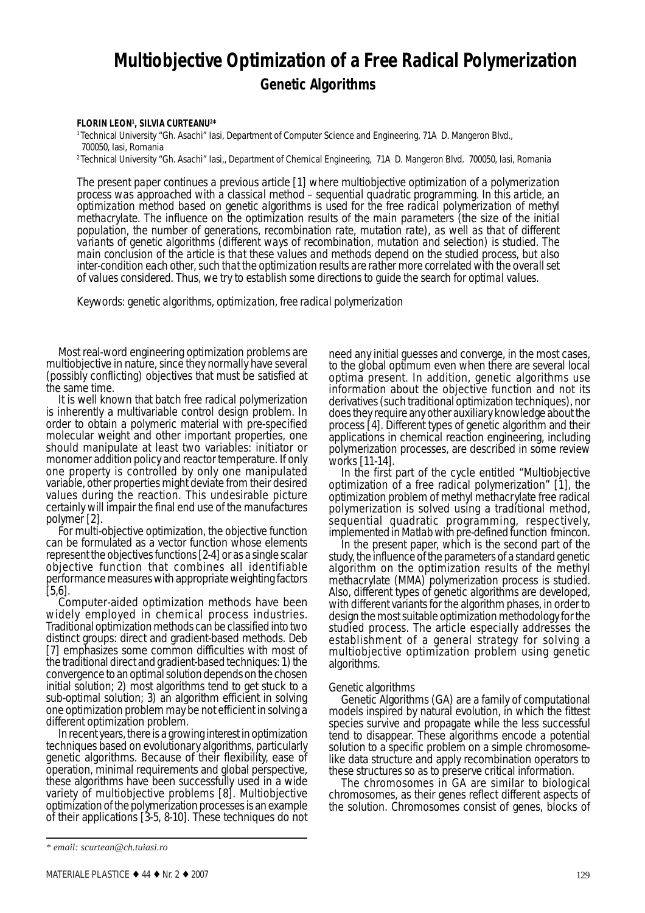# **Multiobjective Optimization of a Free Radical Polymerization Genetic Algorithms**

# **FLORIN LEON1 , SILVIA CURTEANU2 \***

*<sup>1</sup>*Technical University "Gh. Asachi" Iasi, Department of Computer Science and Engineering, 71A D. Mangeron Blvd., 700050, Iasi, Romania

2 Technical University "Gh. Asachi" Iasi,, Department of Chemical Engineering, 71A D. Mangeron Blvd. 700050, Iasi, Romania

*The present paper continues a previous article [1] where multiobjective optimization of a polymerization process was approached with a classical method – sequential quadratic programming. In this article, an optimization method based on genetic algorithms is used for the free radical polymerization of methyl methacrylate. The influence on the optimization results of the main parameters (the size of the initial population, the number of generations, recombination rate, mutation rate), as well as that of different variants of genetic algorithms (different ways of recombination, mutation and selection) is studied. The main conclusion of the article is that these values and methods depend on the studied process, but also inter-condition each other, such that the optimization results are rather more correlated with the overall set of values considered. Thus, we try to establish some directions to guide the search for optimal values.*

*Keywords: genetic algorithms, optimization, free radical polymerization*

Most real-word engineering optimization problems are multiobjective in nature, since they normally have several (possibly conflicting) objectives that must be satisfied at the same time.

It is well known that batch free radical polymerization is inherently a multivariable control design problem. In order to obtain a polymeric material with pre-specified molecular weight and other important properties, one should manipulate at least two variables: initiator or monomer addition policy and reactor temperature. If only one property is controlled by only one manipulated variable, other properties might deviate from their desired values during the reaction. This undesirable picture certainly will impair the final end use of the manufactures

polymer [2].<br>For multi-objective optimization, the objective function can be formulated as a vector function whose elements represent the objectives functions [2-4] or as a single scalar objective function that combines all identifiable performance measures with appropriate weighting factors [5,6].

Computer-aided optimization methods have been widely employed in chemical process industries. Traditional optimization methods can be classified into two distinct groups: direct and gradient-based methods. Deb [7] emphasizes some common difficulties with most of the traditional direct and gradient-based techniques: 1) the convergence to an optimal solution depends on the chosen initial solution; 2) most algorithms tend to get stuck to a sub-optimal solution; 3) an algorithm efficient in solving one optimization problem may be not efficient in solving a different optimization problem.

In recent years, there is a growing interest in optimization techniques based on evolutionary algorithms, particularly genetic algorithms. Because of their flexibility, ease of operation, minimal requirements and global perspective, these algorithms have been successfully used in a wide variety of multiobjective problems [8]. Multiobjective optimization of the polymerization processes is an example of their applications [3-5, 8-10]. These techniques do not need any initial guesses and converge, in the most cases, to the global optimum even when there are several local optima present. In addition, genetic algorithms use information about the objective function and not its derivatives (such traditional optimization techniques), nor does they require any other auxiliary knowledge about the process [4]. Different types of genetic algorithm and their applications in chemical reaction engineering, including polymerization processes, are described in some review works [11-14].

In the first part of the cycle entitled "Multiobjective optimization of a free radical polymerization" [1], the optimization problem of methyl methacrylate free radical polymerization is solved using a traditional method, sequential quadratic programming, respectively,

implemented in *Matlab* with pre-defined function *fmincon*. In the present paper, which is the second part of the study, the influence of the parameters of a standard genetic algorithm on the optimization results of the methyl methacrylate (MMA) polymerization process is studied. Also, different types of genetic algorithms are developed, with different variants for the algorithm phases, in order to design the most suitable optimization methodology for the studied process. The article especially addresses the establishment of a general strategy for solving a multiobjective optimization problem using genetic algorithms.

## *Genetic algorithms*

Genetic Algorithms (GA) are a family of computational models inspired by natural evolution, in which the fittest species survive and propagate while the less successful tend to disappear. These algorithms encode a potential solution to a specific problem on a simple chromosomelike data structure and apply recombination operators to

these structures so as to preserve critical information. chromosomes, as their genes reflect different aspects of the solution. Chromosomes consist of genes, blocks of

*<sup>\*</sup> email: scurtean@ch.tuiasi.ro*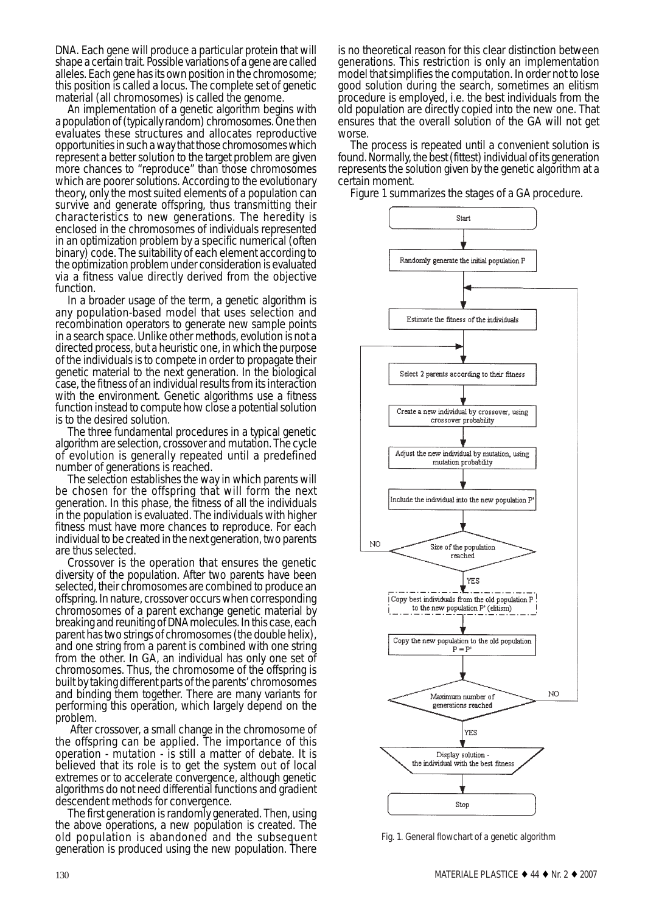DNA. Each gene will produce a particular protein that will shape a certain trait. Possible variations of a gene are called alleles. Each gene has its own position in the chromosome; this position is called a locus. The complete set of genetic material (all chromosomes) is called the genome.

An implementation of a genetic algorithm begins with a population of (typically random) chromosomes. One then evaluates these structures and allocates reproductive opportunities in such a way that those chromosomes which represent a better solution to the target problem are given more chances to "reproduce" than those chromosomes which are poorer solutions. According to the evolutionary theory, only the most suited elements of a population can survive and generate offspring, thus transmitting their characteristics to new generations. The heredity is enclosed in the chromosomes of individuals represented in an optimization problem by a specific numerical (often binary) code. The suitability of each element according to the optimization problem under consideration is evaluated via a fitness value directly derived from the objective

function.<br>In a broader usage of the term, a genetic algorithm is any population-based model that uses selection and recombination operators to generate new sample points in a search space. Unlike other methods, evolution is not a directed process, but a heuristic one, in which the purpose of the individuals is to compete in order to propagate their genetic material to the next generation. In the biological case, the fitness of an individual results from its interaction with the environment. Genetic algorithms use a fitness function instead to compute how close a potential solution is to the desired solution.

The three fundamental procedures in a typical genetic algorithm are selection, crossover and mutation. The cycle of evolution is generally repeated until a predefined

number of generations is reached. The *selection* establishes the way in which parents will be chosen for the offspring that will form the next generation. In this phase, the fitness of all the individuals in the population is evaluated. The individuals with higher fitness must have more chances to reproduce. For each individual to be created in the next generation, two parents are thus selected.

*Crossover* is the operation that ensures the genetic diversity of the population. After two parents have been selected, their chromosomes are combined to produce an offspring. In nature, crossover occurs when corresponding chromosomes of a parent exchange genetic material by breaking and reuniting of DNA molecules. In this case, each parent has two strings of chromosomes (the double helix), and one string from a parent is combined with one string from the other. In GA, an individual has only one set of chromosomes. Thus, the chromosome of the offspring is built by taking different parts of the parents' chromosomes and binding them together. There are many variants for performing this operation, which largely depend on the problem.

 After crossover, a small change in the chromosome of the offspring can be applied. The importance of this operation - *mutation* - is still a matter of debate. It is believed that its role is to get the system out of local extremes or to accelerate convergence, although genetic algorithms do not need differential functions and gradient descendent methods for convergence.

The first generation is randomly generated. Then, using the above operations, a new population is created. The old population is abandoned and the subsequent generation is produced using the new population. There is no theoretical reason for this clear distinction between generations. This restriction is only an implementation model that simplifies the computation. In order not to lose good solution during the search, sometimes an *elitism* procedure is employed, i.e. the best individuals from the old population are directly copied into the new one. That ensures that the overall solution of the GA will not get worse.

The process is repeated until a convenient solution is found. Normally, the best (fittest) individual of its generation represents the solution given by the genetic algorithm at a certain moment.

Figure 1 summarizes the stages of a GA procedure.



Fig. 1. General flowchart of a genetic algorithm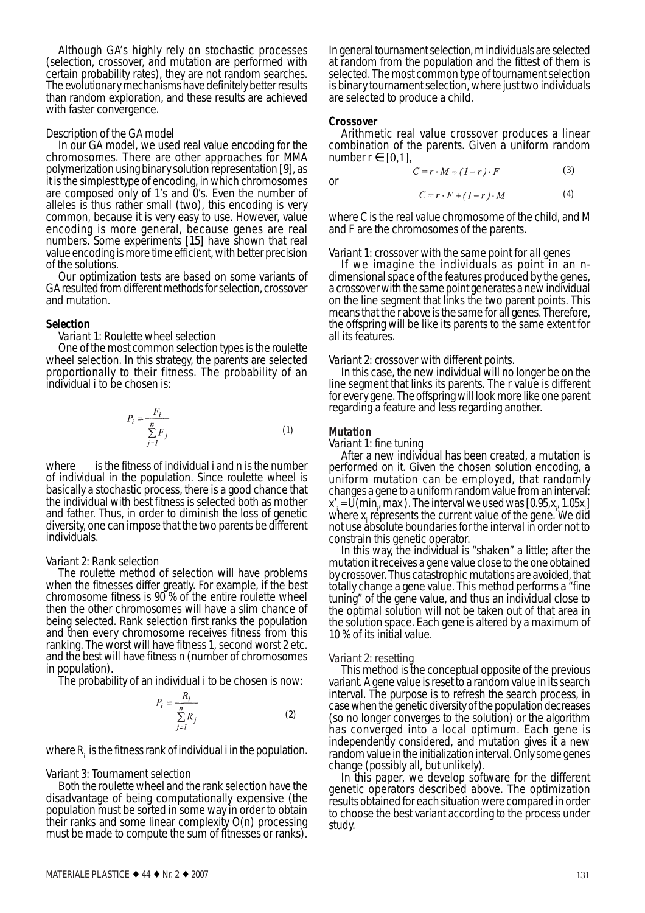Although GA's highly rely on stochastic processes (selection, crossover, and mutation are performed with certain probability rates), they are not random searches. The evolutionary mechanisms have definitely better results than random exploration, and these results are achieved with faster convergence.

# *Description of the GA model*

In our GA model, we used real value encoding for the chromosomes. There are other approaches for MMA polymerization using binary solution representation [9], as it is the simplest type of encoding, in which chromosomes are composed only of 1's and 0's. Even the number of alleles is thus rather small (two), this encoding is very common, because it is very easy to use. However, value encoding is more general, because genes are real numbers. Some experiments [15] have shown that real value encoding is more time efficient, with better precision of the solutions.

Our optimization tests are based on some variants of GA resulted from different methods for selection, crossover and mutation.

# *Selection*

# *Variant 1: Roulette wheel selection*

One of the most common selection types is the roulette wheel selection. In this strategy, the parents are selected proportionally to their fitness. The probability of an individual *i* to be chosen is:

$$
P_i = \frac{F_i}{\sum_{j=1}^{n} F_j}
$$
 (1)

where is the fitness of individual *i* and *n* is the number of individual in the population. Since roulette wheel is basically a stochastic process, there is a good chance that the individual with best fitness is selected both as mother and father. Thus, in order to diminish the loss of genetic diversity, one can impose that the two parents be different individuals.

# *Variant 2: Rank selection*

The roulette method of selection will have problems when the fitnesses differ greatly. For example, if the best chromosome fitness is 90 % of the entire roulette wheel then the other chromosomes will have a slim chance of being selected. Rank selection first ranks the population and then every chromosome receives fitness from this ranking. The worst will have fitness 1, second worst 2 etc. and the best will have fitness *n* (number of chromosomes in population).

The probability of an individual *i* to be chosen is now:

$$
P_i = \frac{R_i}{\sum_{j=1}^n R_j}
$$
 (2)

where  $R_{\scriptscriptstyle{f}}$  is the fitness rank of individual *i* in the population.

### *Variant 3: Tournament selection*

Both the roulette wheel and the rank selection have the disadvantage of being computationally expensive (the population must be sorted in some way in order to obtain<br>their ranks and some linear complexity  $O(n)$  processing must be made to compute the sum of fitnesses or ranks).

In general tournament selection, *m* individuals are selected at random from the population and the fittest of them is selected. The most common type of tournament selection is binary tournament selection, where just two individuals are selected to produce a child.

### **Crossover**

or

Arithmetic real value crossover produces a linear combination of the parents. Given a uniform random number *r* ∈ [0,1],<br>  $C = r \cdot M + (1 - r) \cdot F$  (3)

$$
C = r \cdot M + (1 - r) \cdot F \tag{3}
$$

$$
C = r \cdot F + (1 - r) \cdot M \tag{4}
$$

where *C* is the real value chromosome of the child, and *M* and *F* are the chromosomes of the parents.

*Variant 1: crossover with the same point for all genes* dimensional space of the features produced by the genes, a crossover with the same point generates a new individual on the line segment that links the two parent points. This means that the *r* above is the same for all genes. Therefore, the offspring will be like its parents to the same extent for all its features.

*Variant 2: crossover with different points.* line segment that links its parents. The *r* value is different for every gene. The offspring will look more like one parent regarding a feature and less regarding another.

# **Mutation**<br>*Variant 1: fine tuning*

After a new individual has been created, a mutation is performed on it. Given the chosen solution encoding, a uniform mutation can be employed, that randomly changes a gene to a uniform random value from an interval:  $\mathbf{x'}_{i} = \bar{U}(\min_{i} \max_{i} ).$  The interval we used was  $[0.95, x_{i}, 1.05x_{i}]$ where *x*<sub>*i*</sub> represents the current value of the gene. We did not use absolute boundaries for the interval in order not to

In this way, the individual is "shaken" a little; after the mutation it receives a gene value close to the one obtained by crossover. Thus catastrophic mutations are avoided, that totally change a gene value. This method performs a "fine tuning" of the gene value, and thus an individual close to the optimal solution will not be taken out of that area in the solution space. Each gene is altered by a maximum of 10 % of its initial value.

### *Variant 2: resetting*

This method is the conceptual opposite of the previous variant. A gene value is reset to a random value in its search interval. The purpose is to refresh the search process, in case when the genetic diversity of the population decreases (so no longer converges to the solution) or the algorithm has converged into a local optimum. Each gene is independently considered, and mutation gives it a new random value in the initialization interval. Only some genes change (possibly all, but unlikely).

In this paper, we develop software for the different genetic operators described above. The optimization results obtained for each situation were compared in order to choose the best variant according to the process under study.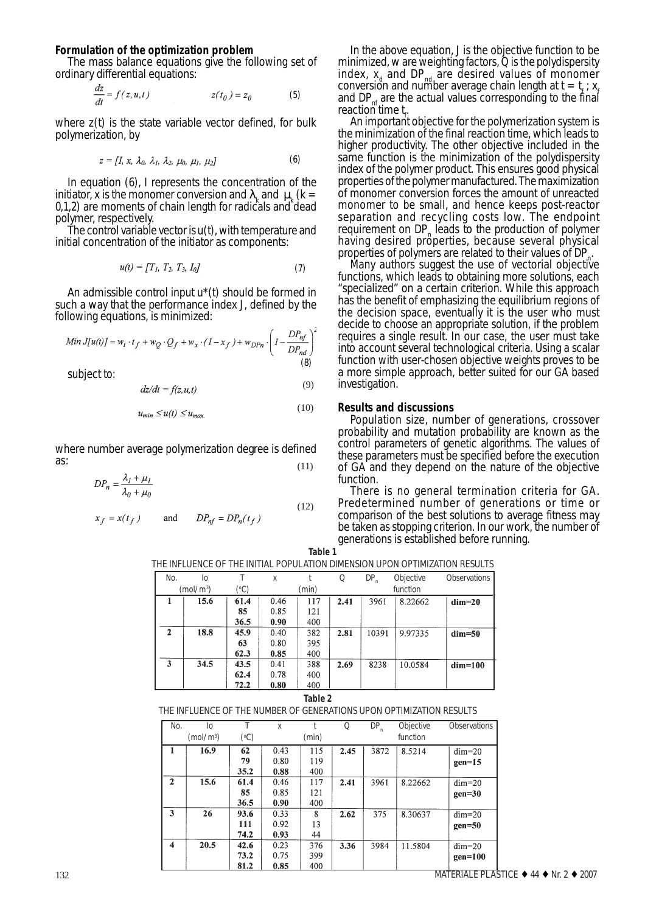### **Formulation of the optimization problem**

The mass balance equations give the following set of ordinary differential equations:

$$
\frac{dz}{dt} = f(z, u, t) \qquad z(t_0) = z_0 \qquad (5)
$$

where  $z(t)$  is the state variable vector defined, for bulk polymerization, by

$$
z = [I, x, \lambda_0, \lambda_1, \lambda_2, \mu_0, \mu_1, \mu_2]
$$
 (6)

In equation (6), *I* represents the concentration of the initiator, *x* is the monomer conversion and  $\lambda_k$  and  $\mu_k$  (k =  $0,1,2$ ) are moments of chain length for radicals and dead polymer, respectively.

The control variable vector is  $u(t)$ , with temperature and initial concentration of the initiator as components:

$$
u(t) = [T_1, T_2, T_3, I_0]
$$
 (7)

An admissible control input *u\*(t)* should be formed in such a way that the performance index *J*, defined by the following equations, is minimized:

Min 
$$
J[u(t)] = w_t \cdot t_f + w_Q \cdot Q_f + w_x \cdot (1 - x_f) + w_{D P n} \cdot \left(1 - \frac{D P_{nf}}{D P_{nd}}\right)^2
$$
  
(8)

subject to:

$$
dz/dt = f(z, u, t) \tag{9}
$$

$$
u_{\min} \le u(t) \le u_{\max} \tag{10}
$$

where number average polymerization degree is defined as: (11)

$$
DP_n = \frac{\lambda_1 + \mu_1}{\lambda_0 + \mu_0} \tag{12}
$$

$$
x_f = x(t_f) \qquad \text{and} \qquad DP_{nf} = DP_n(t_f)
$$

In the above equation, *J* is the objective function to be minimized, *w* are weighting factors, *Q* is the polydispersity index,  $x_d$  and  $DP_{nd}$  are desired values of monomer conversion and number average chain length at  $t = t$ <sub>k</sub>; *x*<sub>*f*</sub> and  $DP_{nf}$  are the actual values corresponding to the final reaction time *t<sub>f</sub>* 

An important objective for the polymerization system is the minimization of the final reaction time, which leads to higher productivity. The other objective included in the same function is the minimization of the polydispersity index of the polymer product. This ensures good physical properties of the polymer manufactured. The maximization of monomer conversion forces the amount of unreacted monomer to be small, and hence keeps post-reactor separation and recycling costs low. The endpoint requirement on  $DP_n$  leads to the production of polymer having desired properties, because several physical properties of polymers are related to their values of  $DP_n$ .

Many authors suggest the use of vectorial objective functions, which leads to obtaining more solutions, each "specialized" on a certain criterion. While this approach has the benefit of emphasizing the equilibrium regions of the decision space, eventually it is the user who must decide to choose an appropriate solution, if the problem requires a single result. In our case, the user must take into account several technological criteria. Using a scalar function with user-chosen objective weights proves to be a more simple approach, better suited for our GA based investigation.

# **Results and discussions**

Population size, number of generations, crossover probability and mutation probability are known as the control parameters of genetic algorithms. The values of these parameters must be specified before the execution of GA and they depend on the nature of the objective function.

There is no general termination criteria for GA. Predetermined number of generations or time or comparison of the best solutions to average fitness may be taken as stopping criterion. In our work, the number of generations is established before running.

| No.          | Iо                    |                 | $\mathbf x$ |       | Q    | $DP_n$   | Objective | <b>Observations</b> |
|--------------|-----------------------|-----------------|-------------|-------|------|----------|-----------|---------------------|
|              | (mol/m <sup>3</sup> ) | $({}^{\circ}C)$ |             | (min) |      | function |           |                     |
|              | 15.6                  | 61.4            | 0.46        | 117   | 2.41 | 3961     | 8.22662   | $dim=20$            |
|              |                       | 85              | 0.85        | 121   |      |          |           |                     |
|              |                       | 36.5            | 0.90        | 400   |      |          |           |                     |
| $\mathbf{2}$ | 18.8                  | 45.9            | 0.40        | 382   | 2.81 | 10391    | 9.97335   | $dim=50$            |
|              |                       | 63              | 0.80        | 395   |      |          |           |                     |
|              |                       | 62.3            | 0.85        | 400   |      |          |           |                     |
| 3            | 34.5                  | 43.5            | 0.41        | 388   | 2.69 | 8238     | 10.0584   | $dim=100$           |
|              |                       | 62.4            | 0.78        | 400   |      |          |           |                     |
|              |                       | 72.2            | 0.80        | 400   |      |          |           |                     |

**Table 1** THE INFLUENCE OF THE INITIAL POPULATION DIMENSION UPON OPTIMIZATION RESULTS

|--|--|

THE INFLUENCE OF THE NUMBER OF GENERATIONS UPON OPTIMIZATION RESULTS

| No.              | Io.                   | Т               | X    |       | Q    | $DP_n$ | Objective | <b>Observations</b> |
|------------------|-----------------------|-----------------|------|-------|------|--------|-----------|---------------------|
|                  | (mol/m <sup>3</sup> ) | $({}^{\circ}C)$ |      | (min) |      |        | function  |                     |
|                  | 16.9                  | 62              | 0.43 | 115   | 2.45 | 3872   | 8.5214    | $dim=20$            |
|                  |                       | 79              | 0.80 | 119   |      |        |           | $gen=15$            |
|                  |                       | 35.2            | 0.88 | 400   |      |        |           |                     |
| $\mathbf{2}$     | 15.6                  | 61.4            | 0.46 | 117   | 2.41 | 3961   | 8.22662   | $dim=20$            |
|                  |                       | 85              | 0.85 | 121   |      |        |           | $gen=30$            |
|                  |                       | 36.5            | 0.90 | 400   |      |        |           |                     |
| $\mathbf{3}$     | 26                    | 93.6            | 0.33 | 8     | 2.62 | 375    | 8.30637   | $dim=20$            |
|                  |                       | 111             | 0.92 | 13    |      |        |           | $gen=50$            |
|                  |                       | 74.2            | 0.93 | 44    |      |        |           |                     |
| $\boldsymbol{4}$ | 20.5                  | 42.6            | 0.23 | 376   | 3.36 | 3984   | 11.5804   | $dim=20$            |
|                  |                       | 73.2            | 0.75 | 399   |      |        |           | $gen=100$           |
|                  |                       | 81.2            | 0.85 | 400   |      |        |           |                     |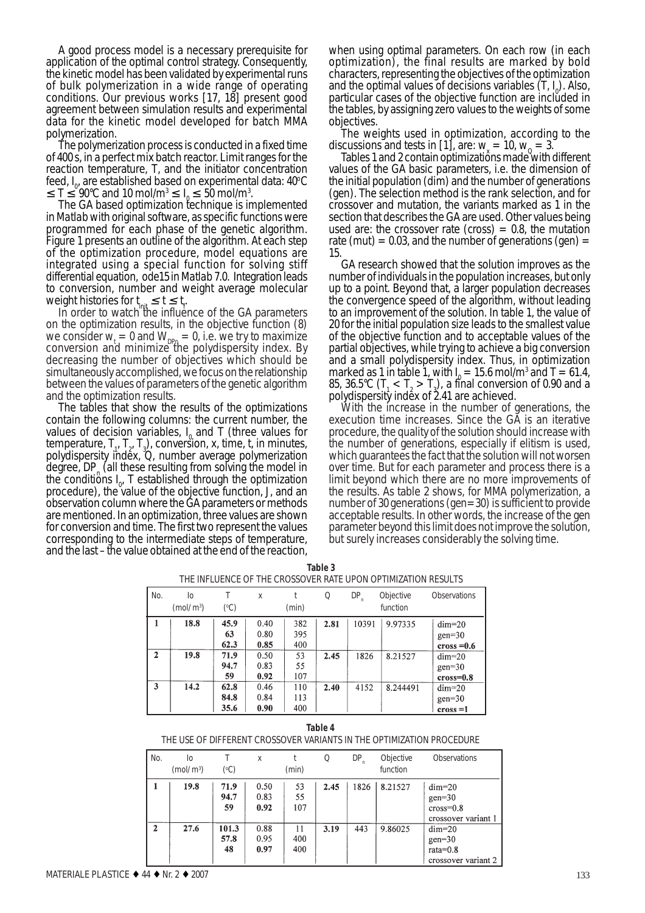A good process model is a necessary prerequisite for application of the optimal control strategy. Consequently, the kinetic model has been validated by experimental runs of bulk polymerization in a wide range of operating conditions. Our previous works [17, 18] present good agreement between simulation results and experimental data for the kinetic model developed for batch MMA polymerization.

The polymerization process is conducted in a fixed time of 400 s, in a perfect mix batch reactor. Limit ranges for the reaction temperature, *T*, and the initiator concentration feed, *I<sub>a</sub>* are established based on experimental data: 40°C  $\leq T \leq 90^{\circ}$ C and 10 mol/m<sup>3</sup>  $\leq I_0 \leq 50$  mol/m<sup>3</sup>.<br>The GA based optimization technique is implemented

in *Matlab* with original software, as specific functions were programmed for each phase of the genetic algorithm. Figure 1 presents an outline of the algorithm. At each step of the optimization procedure, model equations are integrated using a special function for solving stiff differential equation, *ode15* in *Matlab 7.0*. Integration leads to conversion, number and weight average molecular

weight histories for  $t_{init} \leq t \leq t_f$ .<br>In order to watch the influence of the GA parameters on the optimization results, in the objective function (8) we consider  $w_t = 0$  and  $W_{\text{DPn}} = 0$ , i.e. we try to maximize<br>conversion and minimize the polydispersity index. By decreasing the number of objectives which should be simultaneously accomplished, we focus on the relationship between the values of parameters of the genetic algorithm and the optimization results.

The tables that show the results of the optimizations contain the following columns: the current number, the values of decision variables,  $I_{\varrho}$  and  $T$  (three values for temperature,  $T_p$ ,  $T_z$ ,  $T_z$ ), conversion, *x*, time, *t*, in minutes, polydispersity index, *Q*, number average polymerization degree,  $DP_{n}$  (all these resulting from solving the model in degree,  $DP_{\rho}$  (all these resulting from solving the model in the conditions  $I_{\rho}$  *T* established through the optimization procedure), the value of the objective function, *J*, and an observation column where the GA parameters or methods are mentioned. In an optimization, three values are shown for conversion and time. The first two represent the values corresponding to the intermediate steps of temperature, and the last – the value obtained at the end of the reaction,

when using optimal parameters. On each row (in each optimization), the final results are marked by bold characters, representing the objectives of the optimization and the optimal values of decisions variables  $(T, I<sub>0</sub>)$ . Also, particular cases of the objective function are included in the tables, by assigning zero values to the weights of some

objectives. The weights used in optimization, according to the discussions and tests in [1], are:  $w_x = 10$ ,  $w_0 = 3$ .

Tables 1 and 2 contain optimizatiôns made with different values of the GA basic parameters, i.e. the dimension of the initial population (*dim*) and the number of generations (*gen*). The selection method is the rank selection, and for crossover and mutation, the variants marked as 1 in the section that describes the GA are used. Other values being used are: the crossover rate (*cross*) = 0.8, the mutation rate (*mut*) = 0.03, and the number of generations (*gen*) = 15.

GA research showed that the solution improves as the number of individuals in the population increases, but only up to a point. Beyond that, a larger population decreases the convergence speed of the algorithm, without leading to an improvement of the solution. In table 1, the value of 20 for the initial population size leads to the smallest value of the objective function and to acceptable values of the partial objectives, while trying to achieve a big conversion and a small polydispersity index. Thus, in optimization marked as 1 in table 1, with  $I_0 = 15.6$  mol/m<sup>3</sup> and T = 61.4, 85, 36.5°C ( $T_1 < T_2 > T_3$ ), a final conversion of 0.90 and a polydispersity index of 2.41 are achieved.

With the increase in the number of generations, the execution time increases. Since the GA is an iterative procedure, the quality of the solution should increase with the number of generations, especially if elitism is used, which guarantees the fact that the solution will not worsen over time. But for each parameter and process there is a limit beyond which there are no more improvements of the results. As table 2 shows, for MMA polymerization, a number of 30 generations (*gen=30*) is sufficient to provide acceptable results. In other words, the increase of the *gen* parameter beyond this limit does not improve the solution, but surely increases considerably the solving time.

|              |                       |                 |             |       |      |       | THE INFLUENCE OF THE CROSSOVER RATE UPON OPTIMIZATION RESULTS |                     |
|--------------|-----------------------|-----------------|-------------|-------|------|-------|---------------------------------------------------------------|---------------------|
| No.          | Īо                    | Т               | $\mathbf x$ |       | Q    | DP    | Objective                                                     | <b>Observations</b> |
|              | (mol/m <sup>3</sup> ) | $({}^{\circ}C)$ |             | (min) |      |       | function                                                      |                     |
|              | 18.8                  | 45.9            | 0.40        | 382   | 2.81 | 10391 | 9.97335                                                       | $dim=20$            |
|              |                       | 63              | 0.80        | 395   |      |       |                                                               | $gen=30$            |
|              |                       | 62.3            | 0.85        | 400   |      |       |                                                               | $\cos s = 0.6$      |
| $\mathbf{2}$ | 19.8                  | 71.9            | 0.50        | 53    | 2.45 | 1826  | 8.21527                                                       | $dim=20$            |
|              |                       | 94.7            | 0.83        | 55    |      |       |                                                               | $gen=30$            |
|              |                       | 59              | 0.92        | 107   |      |       |                                                               | $cross=0.8$         |
| 3            | 14.2                  | 62.8            | 0.46        | 110   | 2.40 | 4152  | 8.244491                                                      | $dim=20$            |
|              |                       | 84.8            | 0.84        | 113   |      |       |                                                               | $gen=30$            |
|              |                       | 35.6            | 0.90        | 400   |      |       |                                                               | $\,$ cross $=1$     |

**Table 3**<br>VED DATE UDOM OPTIMIZATION DECLUTE THE INFLUENCE OF THE CROSSOVER RATE UPON OPTIMIZATION RESULTS

**Table 4** THE USE OF DIFFERENT CROSSOVER VARIANTS IN THE OPTIMIZATION PROCEDURE

| No.          | Iо<br>(mol/m <sup>3</sup> ) | т<br>$({}^{\circ}C)$ | X                    | (min)            | Q    | DP   | Objective<br>function | <b>Observations</b>                                        |
|--------------|-----------------------------|----------------------|----------------------|------------------|------|------|-----------------------|------------------------------------------------------------|
|              | 19.8                        | 71.9<br>94.7<br>59   | 0.50<br>0.83<br>0.92 | 53<br>55<br>107  | 2.45 | 1826 | 8.21527               | $dim=20$<br>$gen=30$<br>$cross=0.8$<br>crossover variant 1 |
| $\mathbf{2}$ | 27.6                        | 101.3<br>57.8<br>48  | 0.88<br>0.95<br>0.97 | 11<br>400<br>400 | 3.19 | 443  | 9.86025               | $dim=20$<br>$gen=30$<br>$rata=0.8$<br>crossover variant 2  |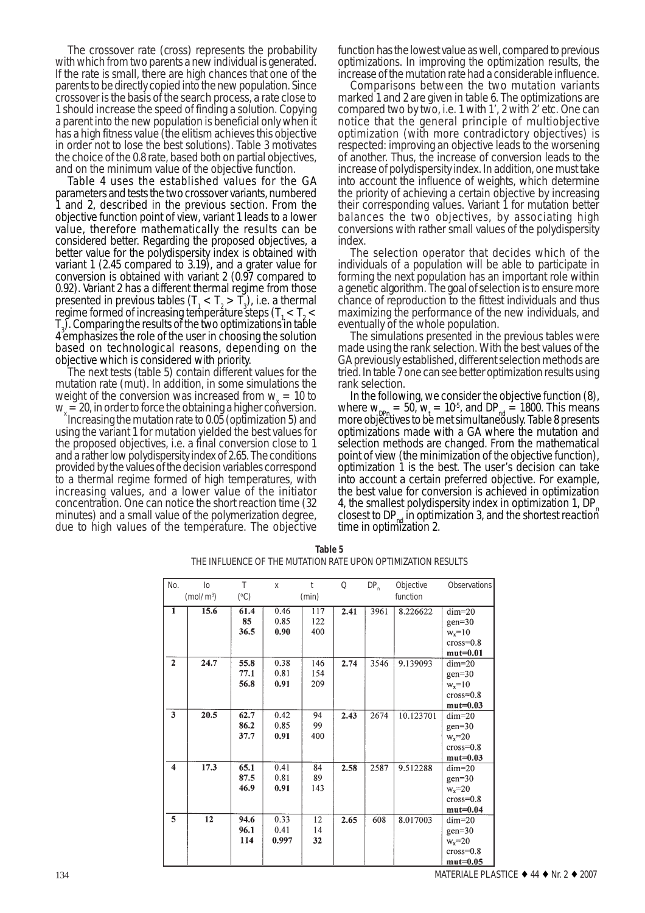The crossover rate (*cross*) represents the probability with which from two parents a new individual is generated. If the rate is small, there are high chances that one of the parents to be directly copied into the new population. Since crossover is the basis of the search process, a rate close to 1 should increase the speed of finding a solution. Copying a parent into the new population is beneficial only when it has a high fitness value (the elitism achieves this objective in order not to lose the best solutions). Table 3 motivates the choice of the 0.8 rate, based both on partial objectives, and on the minimum value of the objective function.

Table 4 uses the established values for the GA parameters and tests the two crossover variants, numbered 1 and 2, described in the previous section. From the objective function point of view, variant 1 leads to a lower value, therefore mathematically the results can be considered better. Regarding the proposed objectives, a better value for the polydispersity index is obtained with variant 1 (2.45 compared to 3.19), and a grater value for conversion is obtained with variant 2 (0.97 compared to 0.92). Variant 2 has a different thermal regime from those presented in previous tables  $(T_1 < T_2 > T_3)$ , i.e. a thermal regime formed of increasing temperature steps  $(T_{1} < T_{2} <$ *T3* ). Comparing the results of the two optimizations in table 4 emphasizes the role of the user in choosing the solution based on technological reasons, depending on the objective which is considered with priority.

The next tests (table 5) contain different values for the mutation rate (*mut*). In addition, in some simulations the weight of the conversion was increased from  $w_x = 10$  to  $w_x = 20$ , in order to force the obtaining a higher conversion.

Increasing the mutation rate to 0.05 (optimization 5) and using the variant 1 for mutation yielded the best values for the proposed objectives, i.e. a final conversion close to 1 and a rather low polydispersity index of 2.65. The conditions provided by the values of the decision variables correspond to a thermal regime formed of high temperatures, with increasing values, and a lower value of the initiator concentration. One can notice the short reaction time (32 minutes) and a small value of the polymerization degree, due to high values of the temperature. The objective function has the lowest value as well, compared to previous optimizations. In improving the optimization results, the increase of the mutation rate had a considerable influence.

Comparisons between the two mutation variants marked 1 and 2 are given in table 6. The optimizations are compared two by two, i.e. 1 with 1', 2 with 2' etc. One can notice that the general principle of multiobjective optimization (with more contradictory objectives) is respected: improving an objective leads to the worsening of another. Thus, the increase of conversion leads to the increase of polydispersity index. In addition, one must take into account the influence of weights, which determine the priority of achieving a certain objective by increasing their corresponding values. Variant 1 for mutation better balances the two objectives, by associating high conversions with rather small values of the polydispersity index.

The selection operator that decides which of the individuals of a population will be able to participate in forming the next population has an important role within a genetic algorithm. The goal of selection is to ensure more chance of reproduction to the fittest individuals and thus maximizing the performance of the new individuals, and eventually of the whole population.

The simulations presented in the previous tables were made using the rank selection. With the best values of the GA previously established, different selection methods are tried. In table 7 one can see better optimization results using rank selection.

In the following, we consider the objective function (8), where  $w_{\text{D}Pn} = 50$ ,  $w_t = 10^5$ , and  $DP_{\text{nd}} = 1800$ . This means more objectives to be met simultaneously. Table 8 presents optimizations made with a GA where the mutation and selection methods are changed. From the mathematical point of view (the minimization of the objective function), optimization 1 is the best. The user's decision can take into account a certain preferred objective. For example, the best value for conversion is achieved in optimization 4, the smallest polydispersity index in optimization 1,  $DP_n$ closest to DP<sub>nd</sub> in optimization 3, and the shortest reaction time in optimization 2.

| No.                  | I <sub>0</sub>        | T               | $\mathbf x$ | t     | Q    | $DP_n$ | Objective | <b>Observations</b> |
|----------------------|-----------------------|-----------------|-------------|-------|------|--------|-----------|---------------------|
|                      | (mol/m <sup>3</sup> ) | $({}^{\circ}C)$ |             | (min) |      |        | function  |                     |
| 1                    | 15.6                  | 61.4            | 0.46        | 117   | 2.41 | 3961   | 8.226622  | $dim=20$            |
|                      |                       | 85              | 0.85        | 122   |      |        |           | $gen=30$            |
|                      |                       | 36.5            | 0.90        | 400   |      |        |           | $w_x = 10$          |
|                      |                       |                 |             |       |      |        |           | $cross=0.8$         |
|                      |                       |                 |             |       |      |        |           | $mut=0.01$          |
| $\overline{2}$       | 24.7                  | 55.8            | 0.38        | 146   | 2.74 | 3546   | 9.139093  | $dim=20$            |
|                      |                       | 77.1            | 0.81        | 154   |      |        |           | $gen=30$            |
|                      |                       | 56.8            | 0.91        | 209   |      |        |           | $w_x = 10$          |
|                      |                       |                 |             |       |      |        |           | $cross=0.8$         |
|                      |                       |                 |             |       |      |        |           | $mut=0.03$          |
| 3                    | 20.5                  | 62.7            | 0.42        | 94    | 2.43 | 2674   | 10.123701 | $dim=20$            |
|                      |                       | 86.2            | 0.85        | 99    |      |        |           | $gen=30$            |
|                      |                       | 37.7            | 0.91        | 400   |      |        |           | $w_x = 20$          |
|                      |                       |                 |             |       |      |        |           | $\csc=0.8$          |
|                      |                       |                 |             |       |      |        |           | $mut=0.03$          |
| $\blacktriangleleft$ | 17.3                  | 65.1            | 0.41        | 84    | 2.58 | 2587   | 9.512288  | $dim=20$            |
|                      |                       | 87.5            | 0.81        | 89    |      |        |           | $gen=30$            |
|                      |                       | 46.9            | 0.91        | 143   |      |        |           | $w_x = 20$          |
|                      |                       |                 |             |       |      |        |           | $cross=0.8$         |
|                      |                       |                 |             |       |      |        |           | $mut=0.04$          |
| 5                    | 12                    | 94.6            | 0.33        | 12    | 2.65 | 608    | 8.017003  | $dim=20$            |
|                      |                       | 96.1            | 0.41        | 14    |      |        |           | $gen=30$            |
|                      |                       | 114             | 0.997       | 32    |      |        |           | $w_x = 20$          |
|                      |                       |                 |             |       |      |        |           | $cross=0.8$         |
|                      |                       |                 |             |       |      |        |           | $mut=0.05$          |

| Table 5                                                      |  |
|--------------------------------------------------------------|--|
| THE INFLUENCE OF THE MUTATION RATE UPON OPTIMIZATION RESULTS |  |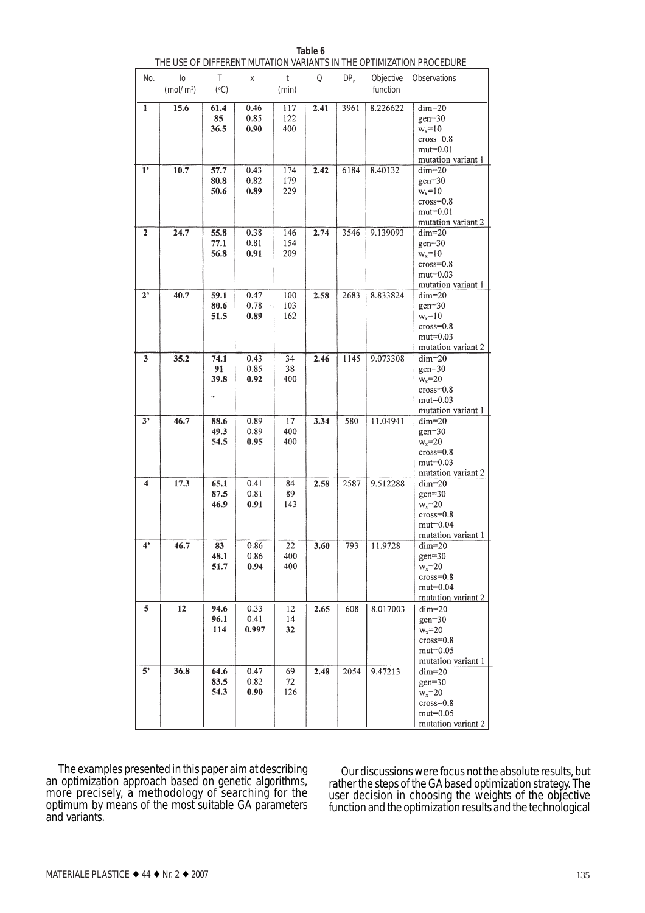|                           | THE USE OF DIFFERENT MUTATION VARIANTS IN THE OPTIMIZATION PROCEDURE |              |              |            |      |        |                       |                           |  |  |
|---------------------------|----------------------------------------------------------------------|--------------|--------------|------------|------|--------|-----------------------|---------------------------|--|--|
| No.                       | I <sub>0</sub><br>(mol/m <sup>3</sup> )                              | T<br>(°C)    | $\bf{X}$     | t<br>(min) | Q    | $DP_n$ | Objective<br>function | Observations              |  |  |
| $\mathbf{1}$              | 15.6                                                                 | 61.4         | 0.46         | 117        | 2.41 | 3961   | 8.226622              | $dim=20$                  |  |  |
|                           |                                                                      | 85           | 0.85         | 122        |      |        |                       | $gen=30$                  |  |  |
|                           |                                                                      | 36.5         | 0.90         | 400        |      |        |                       | $w_x = 10$                |  |  |
|                           |                                                                      |              |              |            |      |        |                       | $cross=0.8$               |  |  |
|                           |                                                                      |              |              |            |      |        |                       | $mut=0.01$                |  |  |
|                           |                                                                      |              |              |            |      |        |                       | mutation variant 1        |  |  |
| 1 <sup>2</sup>            | 10.7                                                                 | 57.7<br>80.8 | 0.43<br>0.82 | 174<br>179 | 2.42 | 6184   | 8.40132               | $dim=20$<br>$gen=30$      |  |  |
|                           |                                                                      | 50.6         | 0.89         | 229        |      |        |                       | $w_x = 10$                |  |  |
|                           |                                                                      |              |              |            |      |        |                       | $cross=0.8$               |  |  |
|                           |                                                                      |              |              |            |      |        |                       | $mut=0.01$                |  |  |
|                           |                                                                      |              |              |            |      |        |                       | mutation variant 2        |  |  |
| 2                         | 24.7                                                                 | 55.8         | 0.38<br>0.81 | 146        | 2.74 | 3546   | 9.139093              | $dim=20$                  |  |  |
|                           |                                                                      | 77.1<br>56.8 | 0.91         | 154<br>209 |      |        |                       | $gen=30$<br>$w_x = 10$    |  |  |
|                           |                                                                      |              |              |            |      |        |                       | $\cos$ =0.8               |  |  |
|                           |                                                                      |              |              |            |      |        |                       | $mut=0.03$                |  |  |
|                           |                                                                      |              |              |            |      |        |                       | mutation variant 1        |  |  |
| 2,                        | 40.7                                                                 | 59.1         | 0.47         | 100        | 2.58 | 2683   | 8.833824              | $dim=20$                  |  |  |
|                           |                                                                      | 80.6<br>51.5 | 0.78<br>0.89 | 103<br>162 |      |        |                       | $gen=30$<br>$w_x = 10$    |  |  |
|                           |                                                                      |              |              |            |      |        |                       | $cross=0.8$               |  |  |
|                           |                                                                      |              |              |            |      |        |                       | $mut=0.03$                |  |  |
|                           |                                                                      |              |              |            |      |        |                       | mutation variant 2        |  |  |
| 3                         | 35.2                                                                 | 74.1         | 0.43         | 34         | 2.46 | 1145   | 9.073308              | $dim=20$                  |  |  |
|                           |                                                                      | 91           | 0.85         | 38         |      |        |                       | $gen=30$                  |  |  |
|                           |                                                                      | 39.8         | 0.92         | 400        |      |        |                       | $w_x = 20$<br>$cross=0.8$ |  |  |
|                           |                                                                      |              |              |            |      |        |                       | $mut=0.03$                |  |  |
|                           |                                                                      |              |              |            |      |        |                       | mutation variant 1        |  |  |
| 3'                        | 46.7                                                                 | 88.6         | 0.89         | 17         | 3.34 | 580    | 11.04941              | $dim=20$                  |  |  |
|                           |                                                                      | 49.3         | 0.89         | 400        |      |        |                       | $gen = 30$                |  |  |
|                           |                                                                      | 54.5         | 0.95         | 400        |      |        |                       | $w_x = 20$<br>$cross=0.8$ |  |  |
|                           |                                                                      |              |              |            |      |        |                       | $mut=0.03$                |  |  |
|                           |                                                                      |              |              |            |      |        |                       | mutation variant 2        |  |  |
| 4                         | 17.3                                                                 | 65.1         | 0.41         | 84         | 2.58 | 2587   | 9.512288              | $dim=20$                  |  |  |
|                           |                                                                      | 87.5         | 0.81         | 89         |      |        |                       | $gen=30$                  |  |  |
|                           |                                                                      | 46.9         | 0.91         | 143        |      |        |                       | $w_x = 20$<br>$cross=0.8$ |  |  |
|                           |                                                                      |              |              |            |      |        |                       | $mut=0.04$                |  |  |
|                           |                                                                      |              |              |            |      |        |                       | mutation variant 1        |  |  |
| $\mathbf{A}$ <sup>2</sup> | 46.7                                                                 | 83           | 0.86         | 22         | 3.60 | 793    | 11.9728               | $dim=20$                  |  |  |
|                           |                                                                      | 48.1<br>51.7 | 0.86<br>0.94 | 400<br>400 |      |        |                       | $gen=30$<br>$w_x = 20$    |  |  |
|                           |                                                                      |              |              |            |      |        |                       | $cross=0.8$               |  |  |
|                           |                                                                      |              |              |            |      |        |                       | $mut=0.04$                |  |  |
|                           |                                                                      |              |              |            |      |        |                       | mutation variant 2        |  |  |
| $\mathbf{5}$              | 12                                                                   | 94.6         | 0.33         | 12         | 2.65 | 608    | 8.017003              | $dim=20$                  |  |  |
|                           |                                                                      | 96.1         | 0.41         | 14         |      |        |                       | $gen=30$                  |  |  |
|                           |                                                                      | 114          | 0.997        | 32         |      |        |                       | $w_x = 20$<br>$cross=0.8$ |  |  |
|                           |                                                                      |              |              |            |      |        |                       | $mut=0.05$                |  |  |
|                           |                                                                      |              |              |            |      |        |                       | mutation variant 1        |  |  |
| $\overline{5}$            | 36.8                                                                 | 64.6         | 0.47         | 69         | 2.48 | 2054   | 9.47213               | $dim=20$                  |  |  |
|                           |                                                                      | 83.5         | 0.82         | 72         |      |        |                       | $gen=30$                  |  |  |
|                           |                                                                      | 54.3         | 0.90         | 126        |      |        |                       | $w_x = 20$                |  |  |
|                           |                                                                      |              |              |            |      |        |                       | $cross=0.8$<br>$mut=0.05$ |  |  |
|                           |                                                                      |              |              |            |      |        |                       | mutation variant 2        |  |  |

**Table 6**

The examples presented in this paper aim at describing an optimization approach based on genetic algorithms, more precisely, a methodology of searching for the optimum by means of the most suitable GA parameters and variants.

Our discussions were focus not the absolute results, but rather the steps of the GA based optimization strategy. The user decision in choosing the weights of the objective function and the optimization results and the technological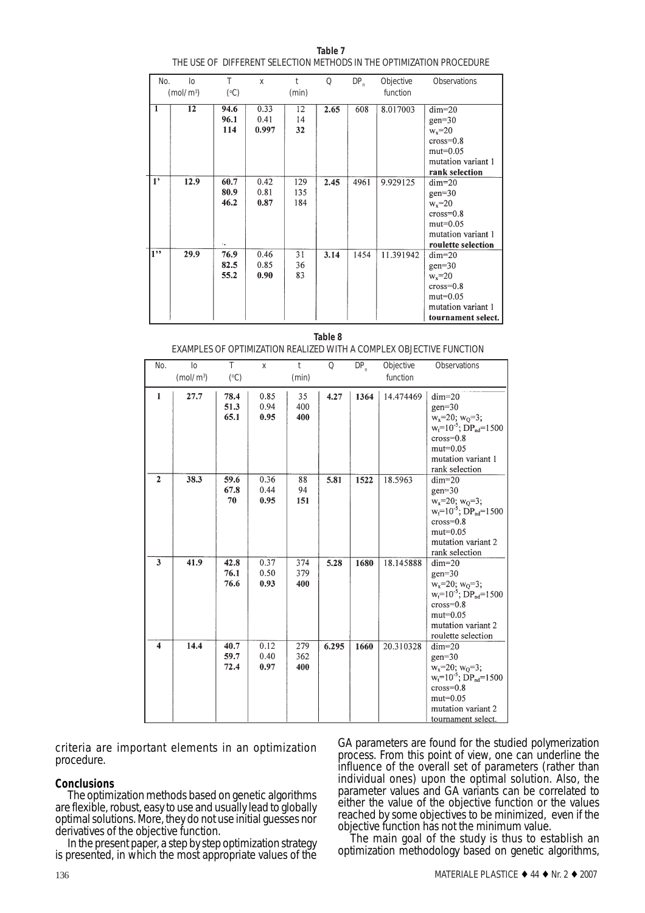|                                                                      | Table 7 |  |
|----------------------------------------------------------------------|---------|--|
| THE USE OF DIFFERENT SELECTION METHODS IN THE OPTIMIZATION PROCEDURE |         |  |

| No. | $\mathbf{I}^{\mathbf{0}}$ | T               | $\mathbf X$ | t                 | Q    | $DP_n$ | Objective | <b>Observations</b> |
|-----|---------------------------|-----------------|-------------|-------------------|------|--------|-----------|---------------------|
|     | (mol/m <sup>3</sup> )     | $({}^{\circ}C)$ |             | function<br>(min) |      |        |           |                     |
| 1   | $\overline{12}$           | 94.6            | 0.33        | 12                | 2.65 | 608    | 8.017003  | $dim=20$            |
|     |                           | 96.1            | 0.41        | 14                |      |        |           | $gen=30$            |
|     |                           | 114             | 0.997       | 32                |      |        |           | $w_x = 20$          |
|     |                           |                 |             |                   |      |        |           | $cross=0.8$         |
|     |                           |                 |             |                   |      |        |           | $mut=0.05$          |
|     |                           |                 |             |                   |      |        |           | mutation variant 1  |
|     |                           |                 |             |                   |      |        |           | rank selection      |
| 1'  | 12.9                      | 60.7            | 0.42        | 129               | 2.45 | 4961   | 9.929125  | $dim=20$            |
|     |                           | 80.9            | 0.81        | 135               |      |        |           | $gen=30$            |
|     |                           | 46.2            | 0.87        | 184               |      |        |           | $w_x = 20$          |
|     |                           |                 |             |                   |      |        |           | $cross=0.8$         |
|     |                           |                 |             |                   |      |        |           | $mut=0.05$          |
|     |                           |                 |             |                   |      |        |           | mutation variant 1  |
|     |                           | ٠.              |             |                   |      |        |           | roulette selection  |
| 1"  | 29.9                      | 76.9            | 0.46        | 31                | 3.14 | 1454   | 11.391942 | $dim=20$            |
|     |                           | 82.5            | 0.85        | 36                |      |        |           | $gen=30$            |
|     |                           | 55.2            | 0.90        | 83                |      |        |           | $w_x = 20$          |
|     |                           |                 |             |                   |      |        |           | $cross=0.8$         |
|     |                           |                 |             |                   |      |        |           | $mut=0.05$          |
|     |                           |                 |             |                   |      |        |           | mutation variant 1  |
|     |                           |                 |             |                   |      |        |           | tournament select.  |

|                         | <b>Table 8</b><br>EXAMPLES OF OPTIMIZATION REALIZED WITH A COMPLEX OBJECTIVE FUNCTION |                      |                      |                       |       |        |                       |                                                                                                                                                                       |  |  |
|-------------------------|---------------------------------------------------------------------------------------|----------------------|----------------------|-----------------------|-------|--------|-----------------------|-----------------------------------------------------------------------------------------------------------------------------------------------------------------------|--|--|
| No.                     | I <sub>0</sub><br>(mol/m <sup>3</sup> )                                               | T<br>$({}^{\circ}C)$ | $\bf{X}$             | $\mathbf{t}$<br>(min) | Q     | $DP_n$ | Objective<br>function | Observations                                                                                                                                                          |  |  |
| $\mathbf{1}$            | 27.7                                                                                  | 78.4<br>51.3<br>65.1 | 0.85<br>0.94<br>0.95 | 35<br>400<br>400      | 4.27  | 1364   | 14.474469             | $dim=20$<br>$gen=30$<br>$w_x = 20$ ; $w_Q = 3$ ;<br>$w_t = 10^{-5}$ ; $DP_{nd} = 1500$<br>$cross=0.8$<br>$mut=0.05$<br>mutation variant 1<br>rank selection           |  |  |
| $\mathbf{2}$            | 38.3                                                                                  | 59.6<br>67.8<br>70   | 0.36<br>0.44<br>0.95 | 88<br>94<br>151       | 5.81  | 1522   | 18.5963               | $dim=20$<br>$gen=30$<br>$w_x = 20$ ; $w_Q = 3$ ;<br>$w_t = 10^{-5}$ ; $DP_{nd} = 1500$<br>$cross=0.8$<br>$mut=0.05$<br>mutation variant 2<br>rank selection           |  |  |
| $\overline{\mathbf{3}}$ | 41.9                                                                                  | 42.8<br>76.1<br>76.6 | 0.37<br>0.50<br>0.93 | 374<br>379<br>400     | 5.28  | 1680   | 18.145888             | $dim=20$<br>$gen=30$<br>$w_x = 20$ ; $w_0 = 3$ ;<br>$w_t = 10^{-5}$ ; DP <sub>nd</sub> =1500<br>$cross=0.8$<br>$mut=0.05$<br>mutation variant 2<br>roulette selection |  |  |
| 4                       | 14.4                                                                                  | 40.7<br>59.7<br>72.4 | 0.12<br>0.40<br>0.97 | 279<br>362<br>400     | 6.295 | 1660   | 20.310328             | $dim=20$<br>$gen=30$<br>$w_x=20; w_Q=3;$<br>$w_t=10^{-5}; DP_{nd}=1500$<br>$cross=0.8$<br>$mut=0.05$<br>mutation variant 2<br>tournament select.                      |  |  |

criteria are important elements in an optimization procedure.

**Conclusions**<br>The optimization methods based on genetic algorithms are flexible, robust, easy to use and usually lead to globally optimal solutions. More, they do not use initial guesses nor

In the present paper, a step by step optimization strategy is presented, in which the most appropriate values of the GA parameters are found for the studied polymerization process. From this point of view, one can underline the influence of the overall set of parameters (rather than individual ones) upon the optimal solution. Also, the parameter values and GA variants can be correlated to either the value of the objective function or the values reached by some objectives to be minimized, even if the objective function has not the minimum value.

The main goal of the study is thus to establish an optimization methodology based on genetic algorithms,